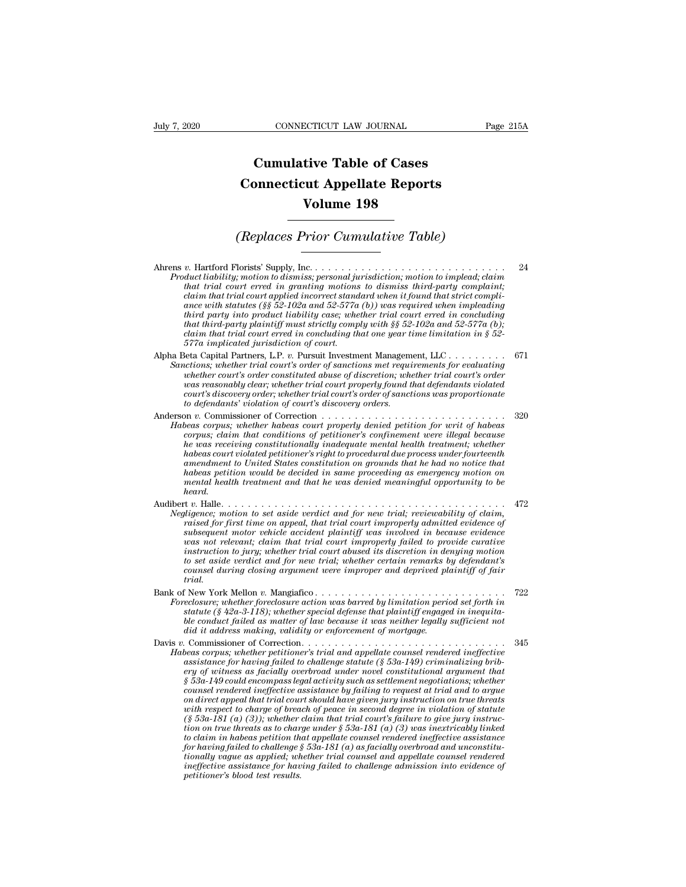## **CONNECTICUT LAW JOURNAL**<br> **Cumulative Table of Cases<br>
pnnecticut Appellate Reports CONNECTICUT LAW JOURNAL** Pag<br> **Cumulative Table of Cases**<br> **Connecticut Appellate Reports**<br> **Volume 198 ECTICUT LAW JOURNAL**<br> **Volume 198**<br> **Volume 198**<br> **Volume 198**<br> **Price Consolative Table) Cumulative Table of Cases<br>
Connecticut Appellate Reports<br>
Volume 198<br>
(Replaces Prior Cumulative Table)**<br> **Constant Constant Cumulative Table**

Ahrens *v.* Hartford Florists' Supply, Inc. . . . . . . . . . . . . . . . . . . . . . . . . . . . . . <sup>24</sup> *Produces Prior Cumulative Table*<br> *Product liability; motion to dismiss; personal jurisdiction; motion to implead; claim*<br> *Product liability; motion to dismissing motions to dismiss third-party complaint;*<br> *claim that t* **(Replaces Prior Cumulative Table)**<br> *that trial court erred in granting motions to dismiss third-party complaint;*<br> *that trial court erred in granting motions to dismiss third-party complaint;*<br> *claim that trial court claim that trial court standard when trial court apply,* Inc.<br> *c* Hartford Florists' Supply, Inc.<br> *claim that trial court erred in granting motions to dismiss third-party complaint;*<br> *claim that trial court applied inc* **ance with statutes (§§** 52-102a and 52-577a (b)) was required that individually that that trial court erred in granting motions to dismiss third-party complaint;<br>that trial court erred in granting motions to dismiss thir *there is*  $t$  are denoted as  $t$  in the multimeter of the denoted in that trial court erred in granting motions to dismiss third-party complaint; that trial court erred in granting motions to dismiss third-party complain *that third-party plaintiff must strictly comply with §§ 52-102a and 52-577a (b);* **claim that trial court erred in concluding that one year time limitation**<br> **claim that trial court erred in granting motions to dismiss third-party complaint;**<br>
claim that trial court applied incorrect standard when it f *fluit indity; motion to dismiss; personal juriat trial court erred in granting motions* claim that trial court applied incorrect stands ance with statutes (§§ 52-102a and 52-577a third party into product liability case; w Alpha Beta Capital Partners, L.P. *v.* Pursuity motorious so was married that strict compli-<br>ance with statutes (§§ 52-102a and 52-577a (b)) was required when impleading<br>third party into product liability case; whether tri *Cance with statutes (§§ 52-102a and 52-577a (b)) was required when impleading*<br>*Sance with statutes (§§ 52-102a and 52-577a (b)) was required when impleading*<br>*third party into product liability case; whether trial court where was sare the sourted abuse of discretion product liability case; whether trial court erred in concluding*<br>that third-party plaintiff must strictly comply with §§ 52-102a and 52-577a (b);<br>claim that trial court erred

*was reasonably clear; whether trial court is strictly comply with §§ 52-102a and 52-577a (b);*<br>claim that trial court erred in concluding that one year time limitation in § 52-<br>577a implicated jurisdiction of court.<br>Seta *claim that trial court's rases six daty compage was proportional dim that trial court erred in concluding that one year time limitation in § 52-577a implicated jurisdiction of court.*<br>Seta Capital Partners, L.P. v. Pursui *Sanctions; whether trial court's order of sanctions met requirements for evaluating whether court's order constituted abuse of discretion; whether trial court's order was reasonably clear; whether trial court properly fou* Anderson *v.* Commissioner of Correction . . . . . . . . . . . . . . . . . . . . . . . . . . . . <sup>320</sup> whether court's order constituted abuse of discretion; whether trial court's order

*Habeas corpus; whether habeas court properly denied petition for writ of habeas corpus; claim that conditions of petitioner's confinement were illegal because he was receiving constitutionally inadequate mental health tre he was reasonably clear; whether trial court properly found that defendants violated*<br>court's discovery order; whether trial court's order of sanctions was proportionate<br>to defendants' violation of court's discovery order *habeas court violated petitioner's right to procedural due process under fourteenth*  $\alpha$  defendants' violation of court's discovery orders.<br>  $\alpha$  defendants' violation of court's discovery orders.<br>  $\alpha$  is a corpus, whether habeas court properly denied petition for writ of habeas<br>
corpus, claim that cond *habeas petition would be decided in same proceeding as emergency motion on mental health treatment and that he was denied meaningful opportunity to be heard. Let us securing constitutionally inadequate mental health treatment; whether*<br>habeas court violated petitioner's right to procedural due process under fourteenth<br>amendment to United States constitution on grounds that he *Ne was eccering constraining inalignate means and head in treatment, entering and head in same proceedural due process under fourteenth*<br>amendment to United States constitution on grounds that he had no notice that<br>habeas

- *raised scart courtage for first constraint to United States constitution on grounds that he had no notice that*<br>habeas petition would be decided in same proceeding as emergency motion on<br>mental health treatment and that h *subsequent worked balists construction in growths due in a horizon in the mail in the more in mental health treatment and that he was denied meaningful opportunity to be heard.*<br>  $x$ . Halle................................ *was not relevant; claim that trial court improperly failed to provide curative instruction*<br>*instruction to set aside vertict and for new trial; reviewability of claim,*<br>*instead for first time on appeal, that trial court improperly admitted evidence of*<br>*subsequent motor vehicle accident plaintiff to set aside verdict and for new trial; whether certain remarks by defendant's counsel to currely the set of the errict and for new trial, reviewability of claim,*<br>*cliqence; motion to set aside verdict and for new trial, reviewability of claim,*<br>*caused for first time on appeal, that trial court im trial.* subsequent motor vehicle accident plaintiff was involved in because evidence<br>was not relevant; claim that trial court improperly failed to provide curative<br>instruction to jury; whether trial court abused its discretion in *Foreclosure; whereas considered by dialal to provide curative*<br>instruction to jury; whether trial count improperly failed to provide curative<br>instruction to jury; whether trial count abused its discretion in denying motio *statute (§ 42a-3-118); whether trial court improperly failed to provide curative*<br>instruction to jury; whether trial court abused its discretion in denying motion<br>to set aside verdict and for new trial; whether certain re
- *ble conduct to a grafic matter failed as matter in which is set aside verdict and for new trial, whether certain remarks by defendant's*<br>counsel during closing argument were improper and deprived plaintiff of fair<br>trial.<br> Davis *v.* Commissioner of Correction. . . . . . . . . . . . . . . . . . . . . . . . . . . . . . . <sup>345</sup> *Habeas corpus; whether perclosure action was barred by limitation period set forth in*<br>*Habeas corpus; whether special defense that plaintiff engaged in inequita-*<br>*he conduct failed as matter of law because it was neithe*

*did it address making, validity or enforcement of mortgage. assistance for having failed to challenge statute (§ 42a-3-118)*<br> *assistance for having failed to muse barred by limitation period set forth in*<br> *astatute (§ 42a-3-118)*, whether special defense that plaintiff engaged i *ers and the statute (§ 42a.3-118); whether special defense that plaintiff engaged in inequita-<br>ble conduct failed as matter of law because it was neither legally sufficient not<br>did it address making, validity or enforceme § 53a-149 could encompass legal activity such as settlement negotiations; whether councerty and intervalue is matter of matter in the central did it address making, validity or enforcement of mortgage.*<br> *commissioner of Correction.*<br> *commissioner of Correctioner's trial and appellate counsel rendered on direct appeal that trial court should have given jury instruction on true threats wheas corpus; whether petitioner's trial and appellate counsel rendered ineffective*<br>*weststance for having failed to challenge statute (§ 53a-149) criminalizing brio-assistance for having failed to challenge statute (§ 5 beas corpus; whether petitioner's trial and appellate counsel rendered ineffective*<br>assistance for having failed to challenge stative (§ 53a-149) criminalizing brib-<br>ery of witness as facially overbroad under novel consti assistance for having failed to challenge statute (§ 53a-149) criminalizing bribery of witness as facially overbroad under novel constitutional argument that  $\frac{8}{33a-149}$  counder counsel learning proton as settlement ne *to claim in that set all overty of witness as jacally overtyond under novel constitutional argument that*  $\S$  53a-149 counsel rendered ineffective assistance by failing to request at trial court should have given jury ins *for for having failed to charge § 53a-181 (a) as failing to request at trial and to argue* on direct appeal that trial court should have given jury instruction on true threats with respect to charge of breach of peace in *tounsel rendered ineffective assistance by failing to request at trial and to argue* on direct appeal that trial court should have given jury instruction on true threats with respect to charge of breach of peace in second *ineffective assistance for having failed to challenge in violation on true threats* with respect to charge of breach of peace in second degree in violation of statute  $(\S$  53a-181 (a) (3) weather claim that trial court's *petition to charge of brea*<br>
(§ 53a-181 (a) (3)); whether riven on true threats as to char<br>
to claim in habeas petition the for having failed to challenge §<br>
for having failed to challenge §<br>
tionally vague as applied; wh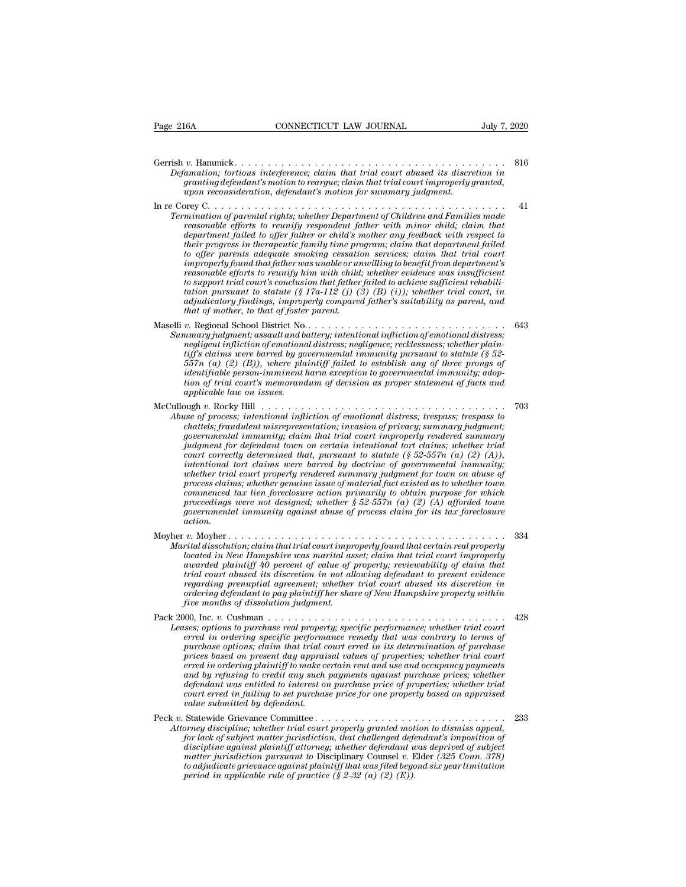| CONNECTICUT LAW JOURNAL<br>Page 216A<br>July 7, 2020                                                                                                                                                                                                                                                                                                                                                                                                                                                                                                                                                                                                                                                                                                                                                                                                                                                                                                                                                                                                       |     |
|------------------------------------------------------------------------------------------------------------------------------------------------------------------------------------------------------------------------------------------------------------------------------------------------------------------------------------------------------------------------------------------------------------------------------------------------------------------------------------------------------------------------------------------------------------------------------------------------------------------------------------------------------------------------------------------------------------------------------------------------------------------------------------------------------------------------------------------------------------------------------------------------------------------------------------------------------------------------------------------------------------------------------------------------------------|-----|
| Defamation; tortious interference; claim that trial court abused its discretion in<br>granting defendant's motion to reargue; claim that trial court improperly granted,<br>upon reconsideration, defendant's motion for summary judgment.                                                                                                                                                                                                                                                                                                                                                                                                                                                                                                                                                                                                                                                                                                                                                                                                                 | 816 |
| Termination of parental rights; whether Department of Children and Families made<br>reasonable efforts to reunify respondent father with minor child; claim that<br>department failed to offer father or child's mother any feedback with respect to<br>their progress in therapeutic family time program; claim that department failed<br>to offer parents adequate smoking cessation services; claim that trial court<br>improperly found that father was unable or unwilling to benefit from department's<br>reasonable efforts to reunify him with child; whether evidence was insufficient<br>to support trial court's conclusion that father failed to achieve sufficient rehabili-<br>tation pursuant to statute (§ 17a-112 (j) (3) (B) (i)); whether trial court, in<br>adjudicatory findings, improperly compared father's suitability as parent, and<br>that of mother, to that of foster parent.                                                                                                                                                | 41  |
| Summary judgment; assault and battery; intentional infliction of emotional distress;<br>negligent infliction of emotional distress; negligence; recklessness; whether plain-<br>tiff's claims were barred by governmental immunity pursuant to statute $(\S 52 - \S 52)$<br>$557n$ (a) (2) (B)), where plaintiff failed to establish any of three prongs of<br>identifiable person-imminent harm exception to governmental immunity; adop-<br>tion of trial court's memorandum of decision as proper statement of facts and<br>applicable law on issues.                                                                                                                                                                                                                                                                                                                                                                                                                                                                                                   | 643 |
| McCullough $v$ . Rocky Hill $\ldots \ldots \ldots \ldots \ldots \ldots \ldots \ldots \ldots \ldots \ldots \ldots$<br>Abuse of process; intentional infliction of emotional distress; trespass; trespass to<br>chattels; fraudulent misrepresentation; invasion of privacy; summary judgment;<br>governmental immunity; claim that trial court improperly rendered summary<br>judgment for defendant town on certain intentional tort claims; whether trial<br>court correctly determined that, pursuant to statute $(\S 52-557n (a) (2) (A)),$<br>intentional tort claims were barred by doctrine of governmental immunity;<br>whether trial court properly rendered summary judgment for town on abuse of<br>process claims; whether genuine issue of material fact existed as to whether town<br>commenced tax lien foreclosure action primarily to obtain purpose for which<br>proceedings were not designed; whether $\S 52-557n$ (a) (2) (A) afforded town<br>governmental immunity against abuse of process claim for its tax foreclosure<br>action. | 703 |
| Marital dissolution; claim that trial court improperly found that certain real property<br>located in New Hampshire was marital asset; claim that trial court improperly<br>awarded plaintiff 40 percent of value of property; reviewability of claim that<br>trial court abused its discretion in not allowing defendant to present evidence<br>regarding prenuptial agreement; whether trial court abused its discretion in<br>ordering defendant to pay plaintiff her share of New Hampshire property within<br>five months of dissolution judgment.                                                                                                                                                                                                                                                                                                                                                                                                                                                                                                    | 334 |
| Leases; options to purchase real property; specific performance; whether trial court<br>erred in ordering specific performance remedy that was contrary to terms of<br>purchase options; claim that trial court erred in its determination of purchase<br>prices based on present day appraisal values of properties; whether trial court<br>erred in ordering plaintiff to make certain rent and use and occupancy payments<br>and by refusing to credit any such payments against purchase prices; whether<br>defendant was entitled to interest on purchase price of properties; whether trial<br>court erred in failing to set purchase price for one property based on appraised<br>value submitted by defendant.                                                                                                                                                                                                                                                                                                                                     | 428 |
| Attorney discipline; whether trial court properly granted motion to dismiss appeal,<br>for lack of subject matter jurisdiction, that challenged defendant's imposition of<br>discipline against plaintiff attorney; whether defendant was deprived of subject<br>matter jurisdiction pursuant to Disciplinary Counsel v. Elder (325 Conn. 378)<br>to adjudicate grievance against plaintiff that was filed beyond six year limitation<br>period in applicable rule of practice $(\S 2-32$ (a) (2) (E)).                                                                                                                                                                                                                                                                                                                                                                                                                                                                                                                                                    | 233 |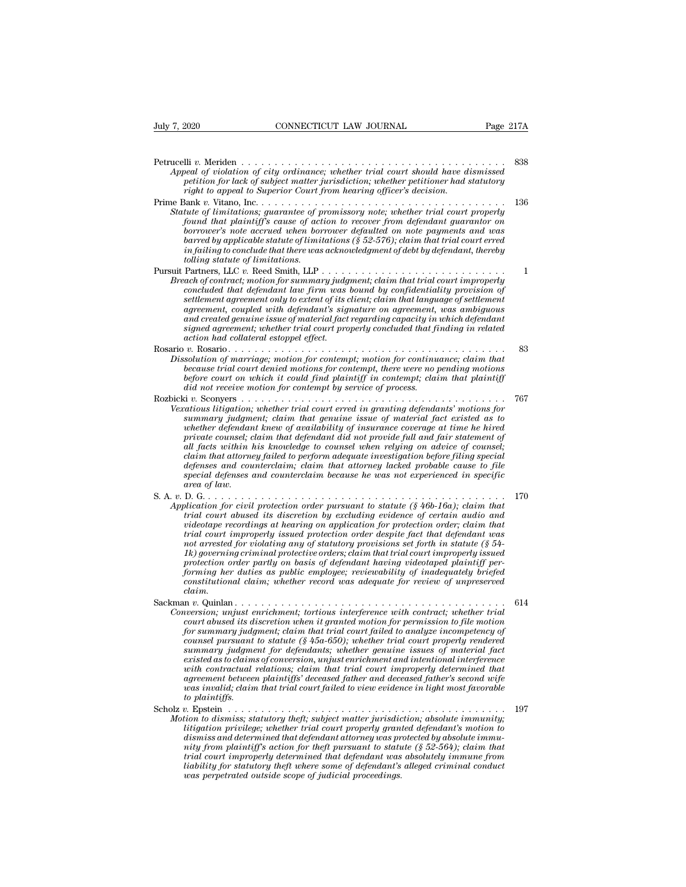| July 7, 2020                    | CONNECTICUT LAW JOURNAL                                                                                                                                                                                                                                                                                                                                                                                                                                                                                                                                                                                                                                                                                                                                                              | Page 217A |
|---------------------------------|--------------------------------------------------------------------------------------------------------------------------------------------------------------------------------------------------------------------------------------------------------------------------------------------------------------------------------------------------------------------------------------------------------------------------------------------------------------------------------------------------------------------------------------------------------------------------------------------------------------------------------------------------------------------------------------------------------------------------------------------------------------------------------------|-----------|
|                                 | Appeal of violation of city ordinance; whether trial court should have dismissed<br>petition for lack of subject matter jurisdiction; whether petitioner had statutory                                                                                                                                                                                                                                                                                                                                                                                                                                                                                                                                                                                                               | 838       |
| tolling statute of limitations. | right to appeal to Superior Court from hearing officer's decision.<br>Statute of limitations; guarantee of promissory note; whether trial court properly<br>found that plaintiff's cause of action to recover from defendant guarantor on<br>borrower's note accrued when borrower defaulted on note payments and was<br>barred by applicable statute of limitations ( $\S 52-576$ ); claim that trial court erred<br>$in failing to conclude that there was acknowledged, men of debt by defendant, thereby$                                                                                                                                                                                                                                                                        | 136       |
|                                 | Breach of contract; motion for summary judgment; claim that trial court improperly<br>concluded that defendant law firm was bound by confidentiality provision of<br>settlement agreement only to extent of its client; claim that language of settlement<br>agreement, coupled with defendant's signature on agreement, was ambiguous<br>and created genuine issue of material fact regarding capacity in which defendant<br>signed agreement; whether trial court properly concluded that finding in related<br>action had collateral estoppel effect.                                                                                                                                                                                                                             | 1         |
|                                 | Dissolution of marriage; motion for contempt; motion for continuance; claim that<br>because trial court denied motions for contempt, there were no pending motions<br>before court on which it could find plaintiff in contempt; claim that plaintiff<br>did not receive motion for contempt by service of process.                                                                                                                                                                                                                                                                                                                                                                                                                                                                  | 83        |
| area of law.                    | Vexatious litigation; whether trial court erred in granting defendants' motions for<br>summary judgment; claim that genuine issue of material fact existed as to<br>whether defendant knew of availability of insurance coverage at time he hired<br>private counsel; claim that defendant did not provide full and fair statement of<br>all facts within his knowledge to counsel when relying on advice of counsel;<br>claim that attorney failed to perform adequate investigation before filing special<br>defenses and counterclaim; claim that attorney lacked probable cause to file<br>special defenses and counterclaim because he was not experienced in specific                                                                                                          | 767       |
| claim.                          | Application for civil protection order pursuant to statute ( $\frac{1}{2}46b-16a$ ); claim that<br>trial court abused its discretion by excluding evidence of certain audio and<br>videotape recordings at hearing on application for protection order; claim that<br>trial court improperly issued protection order despite fact that defendant was<br>not arrested for violating any of statutory provisions set forth in statute $(\S 54-$<br>1k) governing criminal protective orders; claim that trial court improperly issued<br>protection order partly on basis of defendant having videotaped plaintiff per-<br>forming her duties as public employee; reviewability of inadequately briefed<br>constitutional claim; whether record was adequate for review of unpreserved | 170       |
| to plaintiffs.                  | Conversion; unjust enrichment; tortious interference with contract; whether trial<br>court abused its discretion when it granted motion for permission to file motion<br>for summary judgment; claim that trial court failed to analyze incompetency of<br>counsel pursuant to statute ( $\S$ 45a-650); whether trial court properly rendered<br>summary judgment for defendants; whether genuine issues of material fact<br>existed as to claims of conversion, unjust enrichment and intentional interference<br>with contractual relations; claim that trial court improperly determined that<br>agreement between plaintiffs' deceased father and deceased father's second wife<br>was invalid; claim that trial court failed to view evidence in light most favorable           | 614       |
|                                 | Motion to dismiss; statutory theft; subject matter jurisdiction; absolute immunity;<br>litigation privilege; whether trial court properly granted defendant's motion to<br>dismiss and determined that defendant attorney was protected by absolute immu-<br>nity from plaintiff's action for the t pursuant to statute $(\$ 52-564)$ ; claim that<br>trial court improperly determined that defendant was absolutely immune from<br>liability for statutory theft where some of defendant's alleged criminal conduct<br>was perpetrated outside scope of judicial proceedings.                                                                                                                                                                                                      | 197       |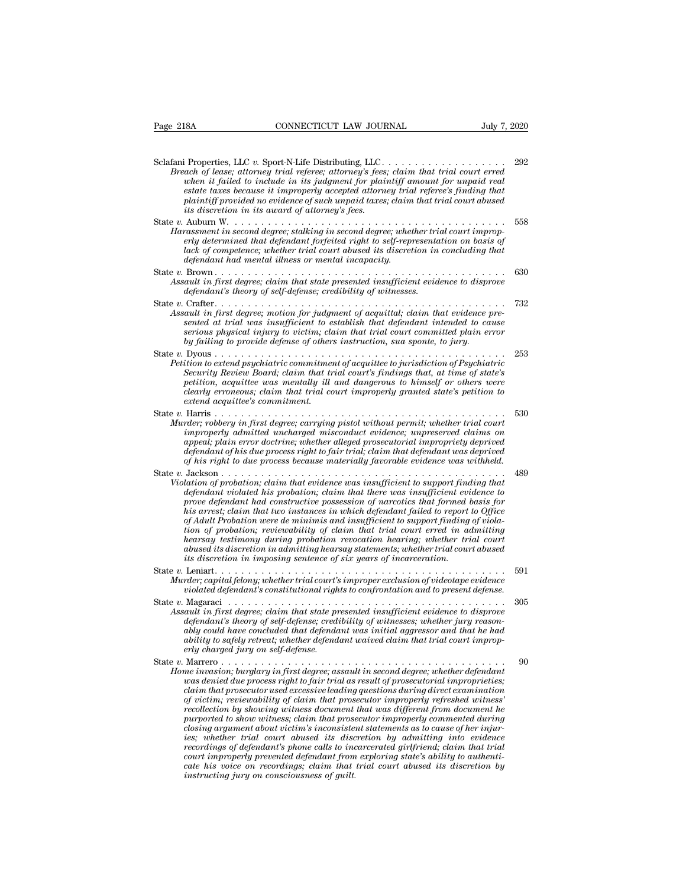| Page 218A                                 | CONNECTICUT LAW JOURNAL                                                                                                                                                                                                                                                                                                                                                                                                                                                                                                                                                                                                                                                                                                                                                                                                                                                                                                                                                                         | July 7, 2020 |
|-------------------------------------------|-------------------------------------------------------------------------------------------------------------------------------------------------------------------------------------------------------------------------------------------------------------------------------------------------------------------------------------------------------------------------------------------------------------------------------------------------------------------------------------------------------------------------------------------------------------------------------------------------------------------------------------------------------------------------------------------------------------------------------------------------------------------------------------------------------------------------------------------------------------------------------------------------------------------------------------------------------------------------------------------------|--------------|
|                                           | Sclafani Properties, LLC v. Sport-N-Life Distributing, LLC<br>Breach of lease; attorney trial referee; attorney's fees; claim that trial court erred<br>when it failed to include in its judgment for plaintiff amount for unpaid real<br>estate taxes because it improperly accepted attorney trial referee's finding that<br>plaintiff provided no evidence of such unpaid taxes; claim that trial court abused<br><i>its discretion in its award of attorney's fees.</i>                                                                                                                                                                                                                                                                                                                                                                                                                                                                                                                     | 292          |
|                                           | Harassment in second degree; stalking in second degree; whether trial court improp-<br>erly determined that defendant forfeited right to self-representation on basis of<br>lack of competence; whether trial court abused its discretion in concluding that<br>defendant had mental illness or mental incapacity.                                                                                                                                                                                                                                                                                                                                                                                                                                                                                                                                                                                                                                                                              | 558          |
|                                           | Assault in first degree; claim that state presented insufficient evidence to disprove<br>defendant's theory of self-defense; credibility of witnesses.                                                                                                                                                                                                                                                                                                                                                                                                                                                                                                                                                                                                                                                                                                                                                                                                                                          | 630          |
|                                           | Assault in first degree; motion for judgment of acquittal; claim that evidence pre-<br>sented at trial was insufficient to establish that defendant intended to cause<br>serious physical injury to victim; claim that trial court committed plain error<br>by failing to provide defense of others instruction, sua sponte, to jury.                                                                                                                                                                                                                                                                                                                                                                                                                                                                                                                                                                                                                                                           | 732          |
| extend acquittee's commitment.            | Petition to extend psychiatric commitment of acquittee to jurisdiction of Psychiatric<br>Security Review Board; claim that trial court's findings that, at time of state's<br>petition, acquittee was mentally ill and dangerous to himself or others were<br>clearly erroneous; claim that trial court improperly granted state's petition to                                                                                                                                                                                                                                                                                                                                                                                                                                                                                                                                                                                                                                                  | 253          |
| State $v$ . Harris                        | Murder; robbery in first degree; carrying pistol without permit; whether trial court<br>improperly admitted uncharged misconduct evidence; unpreserved claims on<br>appeal; plain error doctrine; whether alleged prosecutorial impropriety deprived<br>defendant of his due process right to fair trial; claim that defendant was deprived<br>of his right to due process because materially favorable evidence was withheld.                                                                                                                                                                                                                                                                                                                                                                                                                                                                                                                                                                  | 530          |
| State $v.$ Jackson $\ldots \ldots \ldots$ | Violation of probation; claim that evidence was insufficient to support finding that<br>defendant violated his probation; claim that there was insufficient evidence to<br>prove defendant had constructive possession of narcotics that formed basis for<br>his arrest; claim that two instances in which defendant failed to report to Office<br>of Adult Probation were de minimis and insufficient to support finding of viola-<br>tion of probation; reviewability of claim that trial court erred in admitting<br>hearsay testimony during probation revocation hearing; whether trial court<br>abused its discretion in admitting hearsay statements; whether trial court abused<br>its discretion in imposing sentence of six years of incarceration.                                                                                                                                                                                                                                   | 489          |
|                                           | Murder; capital felony; whether trial court's improper exclusion of videotape evidence<br>violated defendant's constitutional rights to confrontation and to present defense.                                                                                                                                                                                                                                                                                                                                                                                                                                                                                                                                                                                                                                                                                                                                                                                                                   | 591          |
| erly charged jury on self-defense.        | Assault in first degree; claim that state presented insufficient evidence to disprove<br>defendant's theory of self-defense; credibility of witnesses; whether jury reason-<br>ably could have concluded that defendant was initial aggressor and that he had<br>ability to safely retreat; whether defendant waived claim that trial court improp-                                                                                                                                                                                                                                                                                                                                                                                                                                                                                                                                                                                                                                             | 305          |
| State v. Marrero                          | Home invasion; burglary in first degree; assault in second degree; whether defendant<br>was denied due process right to fair trial as result of prosecutorial improprieties;<br>claim that prosecutor used excessive leading questions during direct examination<br>of victim; reviewability of claim that prosecutor improperly refreshed witness'<br>recollection by showing witness document that was different from document he<br>purported to show witness; claim that prosecutor improperly commented during<br>closing argument about victim's inconsistent statements as to cause of her injur-<br>ies; whether trial court abused its discretion by admitting into evidence<br>recordings of defendant's phone calls to incarcerated girlfriend; claim that trial<br>court improperly prevented defendant from exploring state's ability to authenti-<br>cate his voice on recordings; claim that trial court abused its discretion by<br>instructing jury on consciousness of quilt. | 90           |